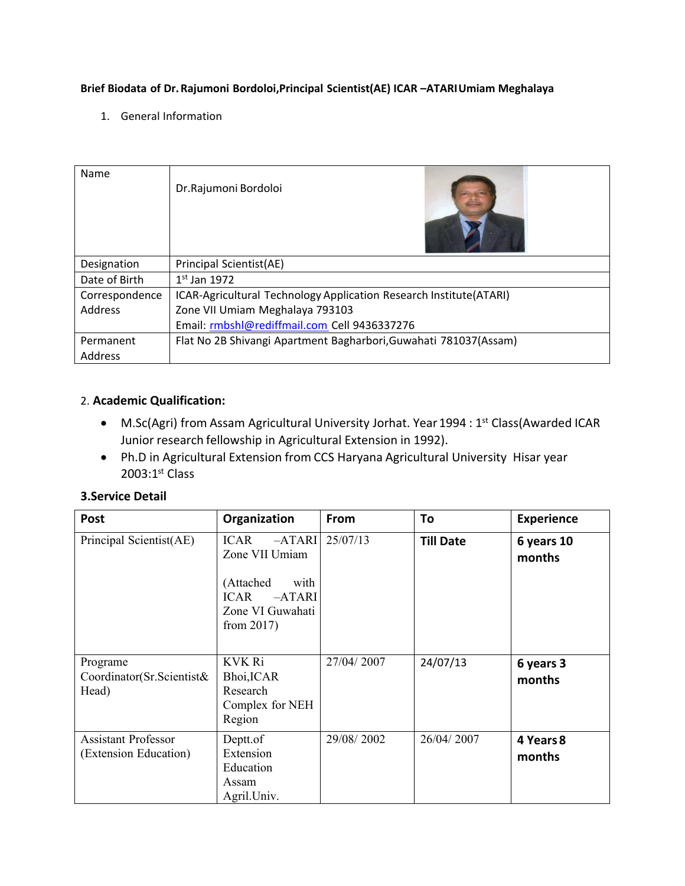### **Brief Biodata of Dr.Rajumoni Bordoloi,Principal Scientist(AE) ICAR –ATARIUmiam Meghalaya**

1. General Information

| Name           | Dr.Rajumoni Bordoloi                                               |
|----------------|--------------------------------------------------------------------|
| Designation    | Principal Scientist(AE)                                            |
| Date of Birth  | $1st$ Jan 1972                                                     |
| Correspondence | ICAR-Agricultural Technology Application Research Institute(ATARI) |
| Address        | Zone VII Umiam Meghalaya 793103                                    |
|                | Email: rmbshl@rediffmail.com Cell 9436337276                       |
| Permanent      | Flat No 2B Shivangi Apartment Bagharbori, Guwahati 781037(Assam)   |
| Address        |                                                                    |

### 2. **Academic Qualification:**

- M.Sc(Agri) from Assam Agricultural University Jorhat. Year 1994 : 1<sup>st</sup> Class(Awarded ICAR Junior research fellowship in Agricultural Extension in 1992).
- Ph.D in Agricultural Extension from CCS Haryana Agricultural University Hisar year  $2003:1<sup>st</sup>$  Class

### **3.Service Detail**

| <b>Post</b>                                         | Organization                                                                                                            | From       | To               | <b>Experience</b>    |
|-----------------------------------------------------|-------------------------------------------------------------------------------------------------------------------------|------------|------------------|----------------------|
| Principal Scientist(AE)                             | $-ATARI$<br><b>ICAR</b><br>Zone VII Umiam<br>(Attached<br>with<br>ICAR<br>$-ATARI$<br>Zone VI Guwahati<br>from $2017$ ) | 25/07/13   | <b>Till Date</b> | 6 years 10<br>months |
| Programe<br>Coordinator(Sr.Scientist&<br>Head)      | <b>KVK Ri</b><br>Bhoi, ICAR<br>Research<br>Complex for NEH<br>Region                                                    | 27/04/2007 | 24/07/13         | 6 years 3<br>months  |
| <b>Assistant Professor</b><br>(Extension Education) | Deptt.of<br>Extension<br>Education<br>Assam<br>Agril.Univ.                                                              | 29/08/2002 | 26/04/2007       | 4 Years 8<br>months  |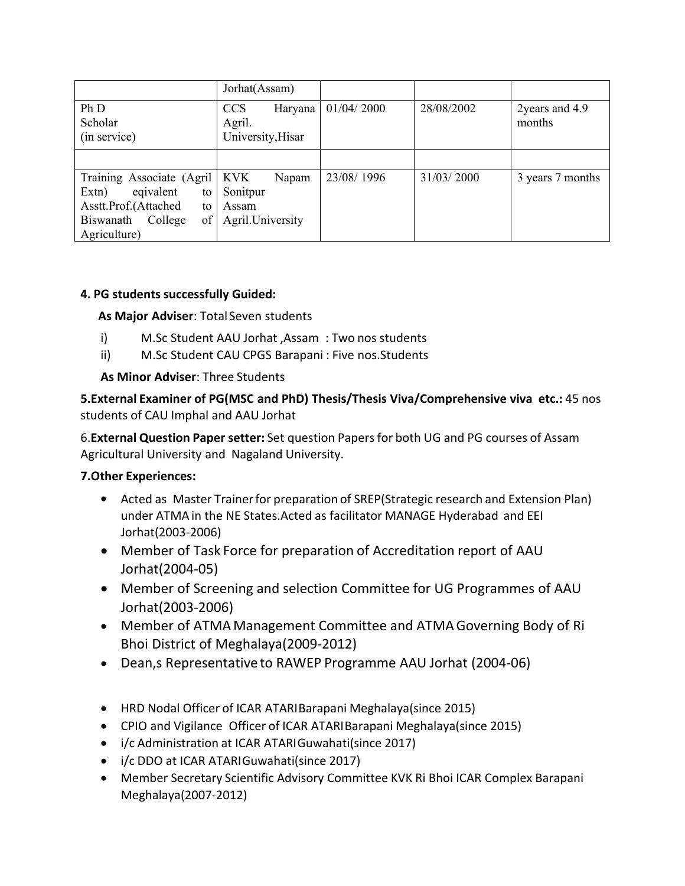|                                 | Jorhat(Assam)                                        |            |            |                          |
|---------------------------------|------------------------------------------------------|------------|------------|--------------------------|
| Ph D<br>Scholar<br>(in service) | <b>CCS</b><br>Haryana<br>Agril.<br>University, Hisar | 01/04/2000 | 28/08/2002 | 2years and 4.9<br>months |
|                                 |                                                      |            |            |                          |
| Training Associate (Agril)      | <b>KVK</b><br>Napam                                  | 23/08/1996 | 31/03/2000 | 3 years 7 months         |
| Extn)<br>eqivalent<br>to        | Sonitpur                                             |            |            |                          |
| Asstt.Prof.(Attached<br>to      | Assam                                                |            |            |                          |
| of  <br>Biswanath<br>College    | Agril. University                                    |            |            |                          |
| Agriculture)                    |                                                      |            |            |                          |

## **4. PG students successfully Guided:**

**As Major Adviser**: Total Seven students

- i) M.Sc Student AAU Jorhat ,Assam : Two nos students
- ii) M.Sc Student CAU CPGS Barapani : Five nos.Students

**As Minor Adviser**: Three Students

**5.External Examiner of PG(MSC and PhD) Thesis/Thesis Viva/Comprehensive viva etc.:** 45 nos students of CAU Imphal and AAU Jorhat

6.**External Question Paper setter:** Set question Papersfor both UG and PG courses of Assam Agricultural University and Nagaland University.

# **7.Other Experiences:**

- Acted as Master Trainerfor preparation of SREP(Strategic research and Extension Plan) under ATMAin the NE States.Acted as facilitator MANAGE Hyderabad and EEI Jorhat(2003-2006)
- Member of Task Force for preparation of Accreditation report of AAU Jorhat(2004-05)
- Member of Screening and selection Committee for UG Programmes of AAU Jorhat(2003-2006)
- Member of ATMA Management Committee and ATMAGoverning Body of Ri Bhoi District of Meghalaya(2009-2012)
- Dean,s Representativeto RAWEP Programme AAU Jorhat (2004-06)
- HRD Nodal Officer of ICAR ATARIBarapani Meghalaya(since 2015)
- CPIO and Vigilance Officer of ICAR ATARIBarapani Meghalaya(since 2015)
- i/c Administration at ICAR ATARIGuwahati(since 2017)
- i/c DDO at ICAR ATARIGuwahati(since 2017)
- Member Secretary Scientific Advisory Committee KVK Ri Bhoi ICAR Complex Barapani Meghalaya(2007-2012)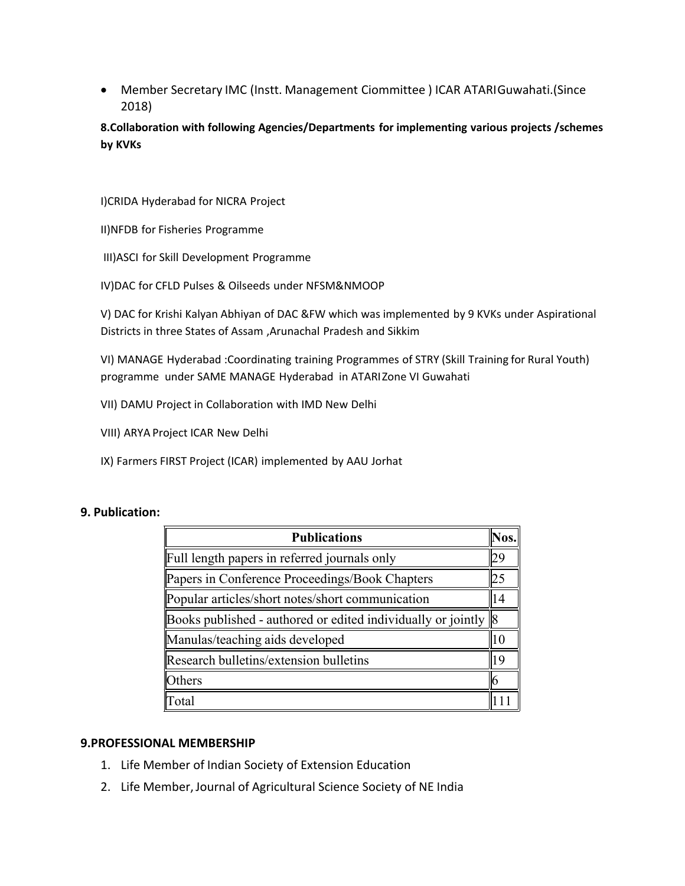Member Secretary IMC (Instt. Management Ciommittee ) ICAR ATARIGuwahati.(Since 2018)

**8.Collaboration with following Agencies/Departments for implementing various projects /schemes by KVKs**

I)CRIDA Hyderabad for NICRA Project

- II)NFDB for Fisheries Programme
- III)ASCI for Skill Development Programme
- IV)DAC for CFLD Pulses & Oilseeds under NFSM&NMOOP

V) DAC for Krishi Kalyan Abhiyan of DAC &FW which was implemented by 9 KVKs under Aspirational Districts in three States of Assam ,Arunachal Pradesh and Sikkim

VI) MANAGE Hyderabad :Coordinating training Programmes of STRY (Skill Training for Rural Youth) programme under SAME MANAGE Hyderabad in ATARIZone VI Guwahati

- VII) DAMU Project in Collaboration with IMD New Delhi
- VIII) ARYA Project ICAR New Delhi
- IX) Farmers FIRST Project (ICAR) implemented by AAU Jorhat

### **9. Publication:**

| <b>Publications</b>                                                | Nos. |  |  |
|--------------------------------------------------------------------|------|--|--|
| Full length papers in referred journals only<br>29                 |      |  |  |
| Papers in Conference Proceedings/Book Chapters<br>25               |      |  |  |
| Popular articles/short notes/short communication                   | 14   |  |  |
| Books published - authored or edited individually or jointly $\ 8$ |      |  |  |
| Manulas/teaching aids developed                                    | 10   |  |  |
| Research bulletins/extension bulletins                             | 19   |  |  |
| <b>Others</b>                                                      |      |  |  |
| Fotal                                                              |      |  |  |

### **9.PROFESSIONAL MEMBERSHIP**

- 1. Life Member of Indian Society of Extension Education
- 2. Life Member,Journal of Agricultural Science Society of NE India